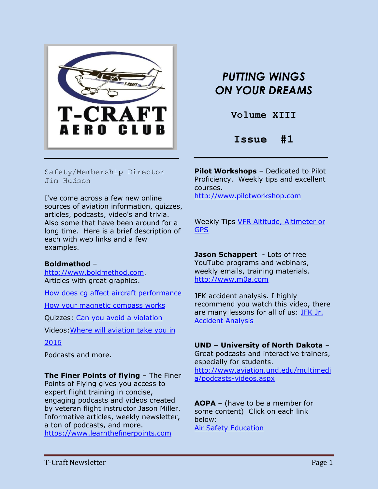

# *PUTTING WINGS ON YOUR DREAMS*

**Volume XIII**

# **Issue #1**

Safety/Membership Director Jim Hudson

I've come across a few new online sources of aviation information, quizzes, articles, podcasts, video's and trivia. Also some that have been around for a long time. Here is a brief description of each with web links and a few examples.

### **Boldmethod** –

[http://www.boldmethod.com.](http://www.boldmethod.com/) Articles with great graphics.

[How does cg affect aircraft performance](http://www.boldmethod.com/learn-to-fly/performance/how-does-cg-affect-aircraft-performance/)

[How your magnetic compass works](http://www.boldmethod.com/blog/learn-to-fly/aircraft-systems/how-your-magnetic-compass-works/)

Quizzes: [Can you avoid a violation](http://www.boldmethod.com/blog/quizzes/2016/01/can-you-avoid-a-violation/)

Videos[:Where will aviation take you in](http://www.boldmethod.com/blog/video/2015/12/where-will-aviation-take-you-in-2016/) 

[2016](http://www.boldmethod.com/blog/video/2015/12/where-will-aviation-take-you-in-2016/)

Podcasts and more.

**The Finer Points of flying** – The Finer Points of Flying gives you access to expert flight training in concise, engaging podcasts and videos created by veteran flight instructor Jason Miller. Informative articles, weekly newsletter, a ton of podcasts, and more. [https://www.learnthefinerpoints.com](https://www.learnthefinerpoints.com/)

**Pilot Workshops** – Dedicated to Pilot Proficiency. Weekly tips and excellent courses. [http://www.pilotworkshop.com](http://www.pilotworkshop.com/)

Weekly Tips [VFR Altitude, Altimeter or](http://www.pilotworkshop.com/tips/vfr_altitude_gps.htm)  [GPS](http://www.pilotworkshop.com/tips/vfr_altitude_gps.htm)

**Jason Schappert** - Lots of free YouTube programs and webinars, weekly emails, training materials. [http://www.m0a.com](http://www.m0a.com/)

JFK accident analysis. I highly recommend you watch this video, there are many lessons for all of us: **JFK Jr.** [Accident Analysis](http://www.m0a.com/jfk-jr-accident-analysis/)

# **UND – University of North Dakota** –

Great podcasts and interactive trainers, especially for students. [http://www.aviation.und.edu/multimedi](http://www.aviation.und.edu/multimedia/podcasts-videos.aspx) [a/podcasts-videos.aspx](http://www.aviation.und.edu/multimedia/podcasts-videos.aspx)

**AOPA** – (have to be a member for some content) Click on each link below: [Air Safety Education](http://www.aopa.org/Education)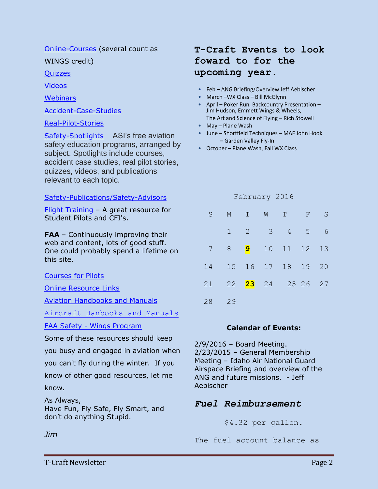# [Online-Courses](http://www.aopa.org/Education/Online-Courses) (several count as

WINGS credit)

**[Quizzes](http://www.aopa.org/Education/Safety-Quizzes)** 

[Videos](http://www.aopa.org/Education/Safety-Videos)

**[Webinars](http://www.aopa.org/Education/Webinars)** 

[Accident-Case-Studies](http://www.aopa.org/Education/Accident-Case-Studies)

[Real-Pilot-Stories](http://www.aopa.org/Education/Real-Pilot-Stories)

[Safety-Spotlights](http://www.aopa.org/Pilot-Resources/Air-Safety-Institute/Safety-Spotlights/) ASI's free aviation safety education programs, arranged by subject. Spotlights include courses, accident case studies, real pilot stories, quizzes, videos, and publications relevant to each topic.

# [Safety-Publications/Safety-Advisors](http://www.aopa.org/Pilot-Resources/Air-Safety-Institute/Safety-Publications/Safety-Advisors)

[Flight Training](http://flighttraining.aopa.org/) - A great resource for Student Pilots and CFI's.

**FAA** – Continuously improving their web and content, lots of good stuff. One could probably spend a lifetime on this site.

[Courses for Pilots](https://www.faasafety.gov/gslac/ALC/course_catalog.aspx)

[Online Resource Links](https://www.faasafety.gov/gslac/onlineresources.aspx?masterId=1)

[Aviation Handbooks and Manuals](http://www.faa.gov/regulations_policies/handbooks_manuals/aviation/)

[Aircraft Hanbooks and Manuals](http://www.faa.gov/regulations_policies/handbooks_manuals/aircraft/)

FAA Safety - [Wings Program](https://www.faasafety.gov/)

Some of these resources should keep

you busy and engaged in aviation when

you can't fly during the winter. If you

know of other good resources, let me know.

As Always, Have Fun, Fly Safe, Fly Smart, and don't do anything Stupid.

## *Jim*

# **T-Craft Events to look foward to for the upcoming year.**

- Feb ANG Briefing/Overview Jeff Aebischer
- $\blacksquare$  March -WX Class Bill McGlynn
- April Poker Run, Backcountry Presentation -Jim Hudson, Emmett Wings & Wheels, The Art and Science of Flying - Rich Stowell
- May Plane Wash
- · June Shortfield Techniques MAF John Hook - Garden Valley Fly-In
- October Plane Wash, Fall WX Class

| S. |             |                | M T W T                        | F. | S |
|----|-------------|----------------|--------------------------------|----|---|
|    | $1 \quad 2$ | $\overline{3}$ | $4\overline{5}$                |    | 6 |
| 7  | 8           |                | <b>9</b> 10 11 12 13           |    |   |
| 14 |             |                | 15 16 17 18 19 20              |    |   |
| 21 |             |                | 22 <mark>23</mark> 24 25 26 27 |    |   |
| 28 | 29          |                |                                |    |   |

February 2016

# **Calendar of Events:**

2/9/2016 – Board Meeting. 2/23/2015 – General Membership Meeting – Idaho Air National Guard Airspace Briefing and overview of the ANG and future missions. - Jeff Aebischer

# *Fuel Reimbursement*

\$4.32 per gallon.

The fuel account balance as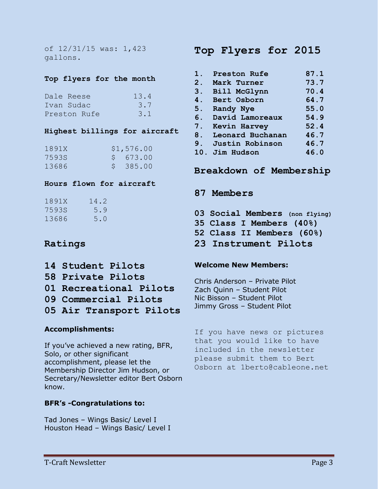### **Top flyers for the month**

| Dale Reese   | 13.4 |
|--------------|------|
| Tvan Sudac   | 3.7  |
| Preston Rufe | 3.1  |

## **Highest billings for aircraft**

| 1891X | \$1,576.00 |
|-------|------------|
| 7593S | \$673.00   |
| 13686 | \$385.00   |

## **Hours flown for aircraft**

| 1891X | 14.2 |
|-------|------|
| 7593S | 5.9  |
| 13686 | 5.0  |

# **Ratings**

- **14 Student Pilots**
- **58 Private Pilots**
- **01 Recreational Pilots**
- **09 Commercial Pilots**
- **05 Air Transport Pilots**

# **Accomplishments:**

If you've achieved a new rating, BFR, Solo, or other significant accomplishment, please let the Membership Director Jim Hudson, or Secretary/Newsletter editor Bert Osborn know.

# **BFR's -Congratulations to:**

Tad Jones – Wings Basic/ Level I Houston Head – Wings Basic/ Level I

# **Top Flyers for 2015**

| 1.    | Preston Rufe     | 87.1 |
|-------|------------------|------|
| $2$ . | Mark Turner      | 73.7 |
| 3.    | Bill McGlynn     | 70.4 |
| 4.    | Bert Osborn      | 64.7 |
| 5.    | Randy Nye        | 55.0 |
| 6.    | David Lamoreaux  | 54.9 |
| 7.    | Kevin Harvey     | 52.4 |
| 8.    | Leonard Buchanan | 46.7 |
| 9.    | Justin Robinson  | 46.7 |
| 10.   | Jim Hudson       | 46.0 |
|       |                  |      |

# **Breakdown of Membership**

- **87 Members**
- **03 Social Members (non flying)**
- **35 Class I Members (40%)**
- **52 Class II Members (60%)**
- **23 Instrument Pilots**

## **Welcome New Members:**

Chris Anderson – Private Pilot Zach Quinn – Student Pilot Nic Bisson – Student Pilot Jimmy Gross – Student Pilot

If you have news or pictures that you would like to have included in the newsletter please submit them to Bert Osborn at 1berto@cableone.net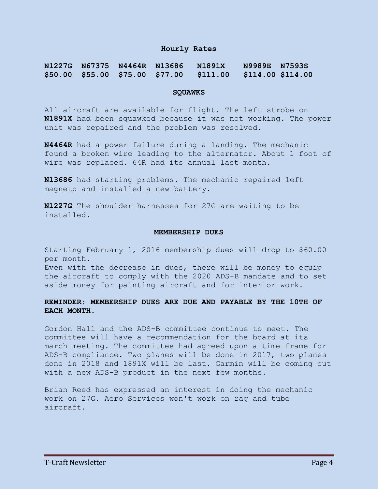#### **Hourly Rates**

#### **N1227G N67375 N4464R N13686 N1891X N9989E N7593S \$50.00 \$55.00 \$75.00 \$77.00 \$111.00 \$114.00 \$114.00**

#### **SQUAWKS**

All aircraft are available for flight. The left strobe on **N1891X** had been squawked because it was not working. The power unit was repaired and the problem was resolved.

**N4464R** had a power failure during a landing. The mechanic found a broken wire leading to the alternator. About 1 foot of wire was replaced. 64R had its annual last month.

**N13686** had starting problems. The mechanic repaired left magneto and installed a new battery.

**N1227G** The shoulder harnesses for 27G are waiting to be installed.

#### **MEMBERSHIP DUES**

Starting February 1, 2016 membership dues will drop to \$60.00 per month.

Even with the decrease in dues, there will be money to equip the aircraft to comply with the 2020 ADS-B mandate and to set aside money for painting aircraft and for interior work.

### **REMINDER: MEMBERSHIP DUES ARE DUE AND PAYABLE BY THE 10TH OF EACH MONTH.**

Gordon Hall and the ADS-B committee continue to meet. The committee will have a recommendation for the board at its march meeting. The committee had agreed upon a time frame for ADS-B compliance. Two planes will be done in 2017, two planes done in 2018 and 1891X will be last. Garmin will be coming out with a new ADS-B product in the next few months.

Brian Reed has expressed an interest in doing the mechanic work on 27G. Aero Services won't work on rag and tube aircraft.